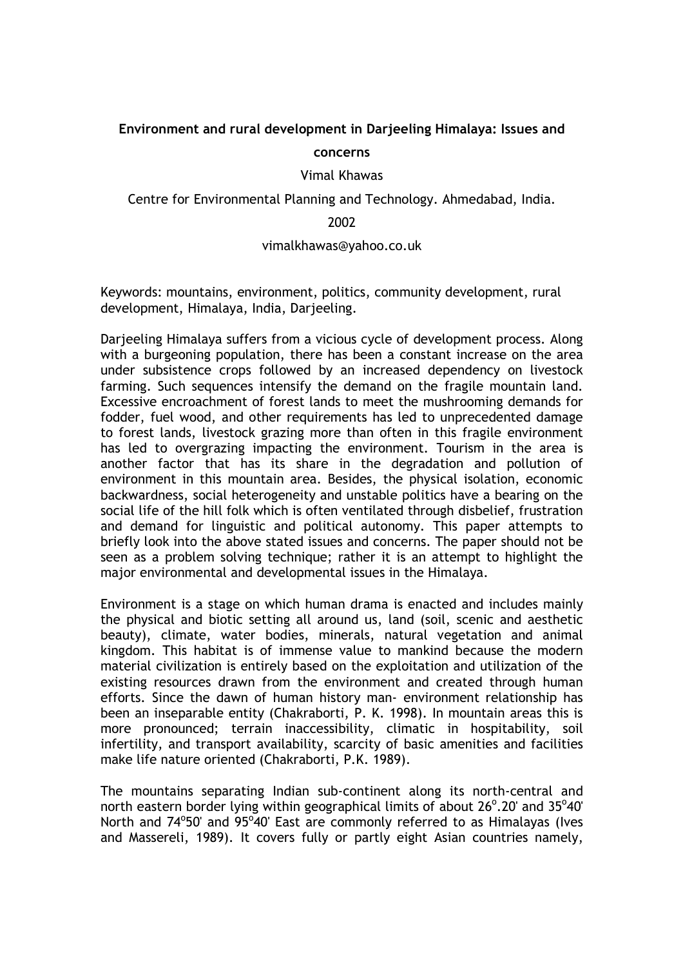# **Environment and rural development in Darjeeling Himalaya: Issues and concerns**

Vimal Khawas

Centre for Environmental Planning and Technology. Ahmedabad, India.

### 2002

### vimalkhawas@yahoo.co.uk

Keywords: mountains, environment, politics, community development, rural development, Himalaya, India, Darjeeling.

Darjeeling Himalaya suffers from a vicious cycle of development process. Along with a burgeoning population, there has been a constant increase on the area under subsistence crops followed by an increased dependency on livestock farming. Such sequences intensify the demand on the fragile mountain land. Excessive encroachment of forest lands to meet the mushrooming demands for fodder, fuel wood, and other requirements has led to unprecedented damage to forest lands, livestock grazing more than often in this fragile environment has led to overgrazing impacting the environment. Tourism in the area is another factor that has its share in the degradation and pollution of environment in this mountain area. Besides, the physical isolation, economic backwardness, social heterogeneity and unstable politics have a bearing on the social life of the hill folk which is often ventilated through disbelief, frustration and demand for linguistic and political autonomy. This paper attempts to briefly look into the above stated issues and concerns. The paper should not be seen as a problem solving technique; rather it is an attempt to highlight the major environmental and developmental issues in the Himalaya.

Environment is a stage on which human drama is enacted and includes mainly the physical and biotic setting all around us, land (soil, scenic and aesthetic beauty), climate, water bodies, minerals, natural vegetation and animal kingdom. This habitat is of immense value to mankind because the modern material civilization is entirely based on the exploitation and utilization of the existing resources drawn from the environment and created through human efforts. Since the dawn of human history man- environment relationship has been an inseparable entity (Chakraborti, P. K. 1998). In mountain areas this is more pronounced; terrain inaccessibility, climatic in hospitability, soil infertility, and transport availability, scarcity of basic amenities and facilities make life nature oriented (Chakraborti, P.K. 1989).

The mountains separating Indian sub-continent along its north-central and north eastern border lying within geographical limits of about  $26^{\circ}$ .20' and  $35^{\circ}40'$ North and 74°50' and 95°40' East are commonly referred to as Himalayas (Ives and Massereli, 1989). It covers fully or partly eight Asian countries namely,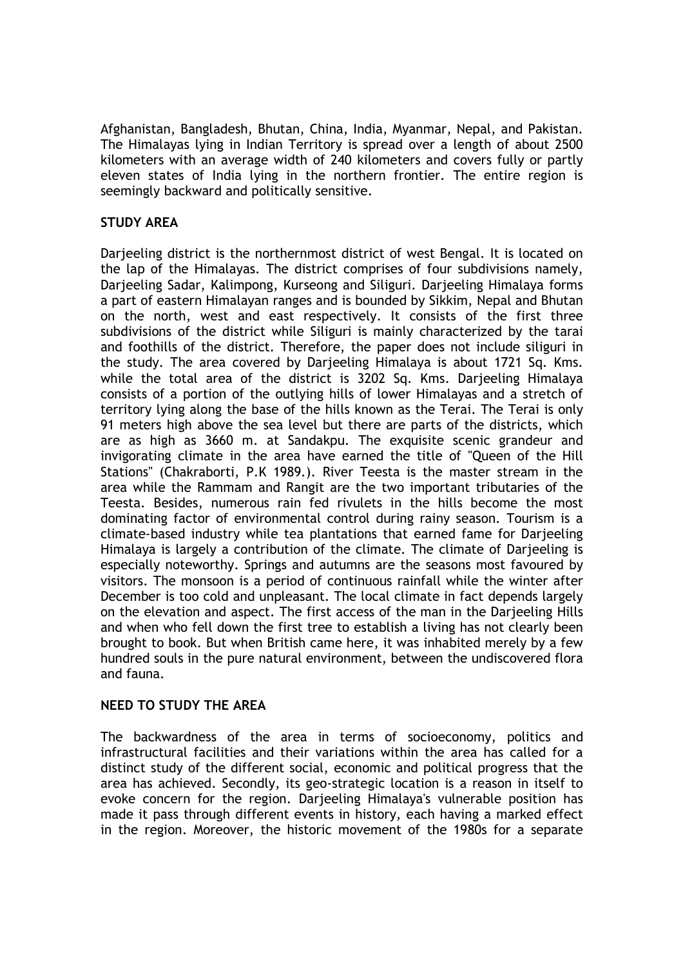Afghanistan, Bangladesh, Bhutan, China, India, Myanmar, Nepal, and Pakistan. The Himalayas lying in Indian Territory is spread over a length of about 2500 kilometers with an average width of 240 kilometers and covers fully or partly eleven states of India lying in the northern frontier. The entire region is seemingly backward and politically sensitive.

# **STUDY AREA**

Darjeeling district is the northernmost district of west Bengal. It is located on the lap of the Himalayas. The district comprises of four subdivisions namely, Darjeeling Sadar, Kalimpong, Kurseong and Siliguri. Darjeeling Himalaya forms a part of eastern Himalayan ranges and is bounded by Sikkim, Nepal and Bhutan on the north, west and east respectively. It consists of the first three subdivisions of the district while Siliguri is mainly characterized by the tarai and foothills of the district. Therefore, the paper does not include siliguri in the study. The area covered by Darjeeling Himalaya is about 1721 Sq. Kms. while the total area of the district is 3202 Sq. Kms. Darjeeling Himalaya consists of a portion of the outlying hills of lower Himalayas and a stretch of territory lying along the base of the hills known as the Terai. The Terai is only 91 meters high above the sea level but there are parts of the districts, which are as high as 3660 m. at Sandakpu. The exquisite scenic grandeur and invigorating climate in the area have earned the title of "Queen of the Hill Stations" (Chakraborti, P.K 1989.). River Teesta is the master stream in the area while the Rammam and Rangit are the two important tributaries of the Teesta. Besides, numerous rain fed rivulets in the hills become the most dominating factor of environmental control during rainy season. Tourism is a climate-based industry while tea plantations that earned fame for Darjeeling Himalaya is largely a contribution of the climate. The climate of Darjeeling is especially noteworthy. Springs and autumns are the seasons most favoured by visitors. The monsoon is a period of continuous rainfall while the winter after December is too cold and unpleasant. The local climate in fact depends largely on the elevation and aspect. The first access of the man in the Darjeeling Hills and when who fell down the first tree to establish a living has not clearly been brought to book. But when British came here, it was inhabited merely by a few hundred souls in the pure natural environment, between the undiscovered flora and fauna.

### **NEED TO STUDY THE AREA**

The backwardness of the area in terms of socioeconomy, politics and infrastructural facilities and their variations within the area has called for a distinct study of the different social, economic and political progress that the area has achieved. Secondly, its geo-strategic location is a reason in itself to evoke concern for the region. Darjeeling Himalaya's vulnerable position has made it pass through different events in history, each having a marked effect in the region. Moreover, the historic movement of the 1980s for a separate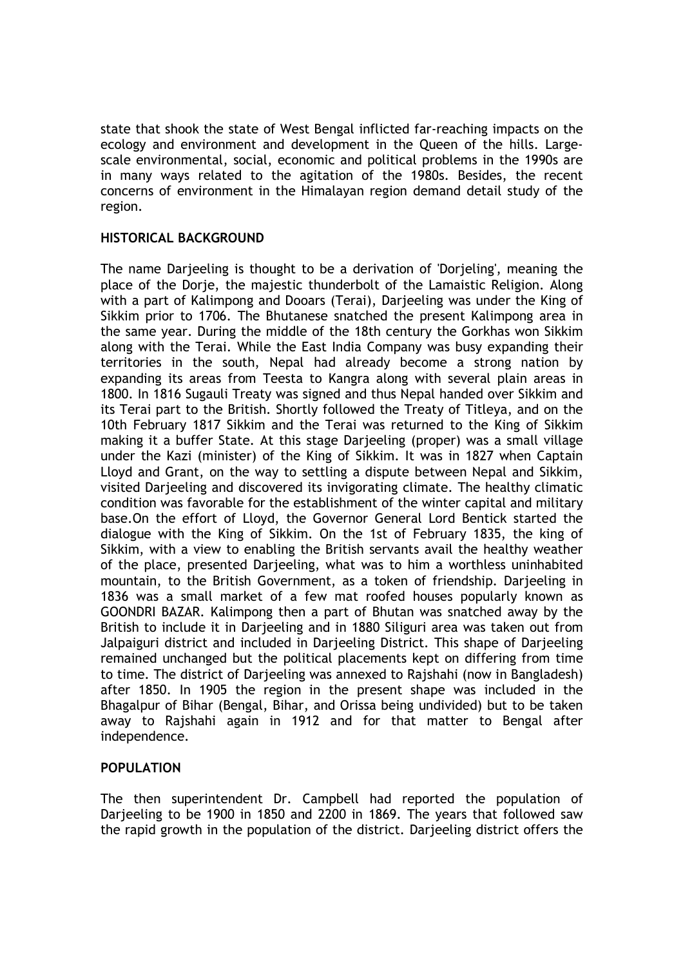state that shook the state of West Bengal inflicted far-reaching impacts on the ecology and environment and development in the Queen of the hills. Largescale environmental, social, economic and political problems in the 1990s are in many ways related to the agitation of the 1980s. Besides, the recent concerns of environment in the Himalayan region demand detail study of the region.

# **HISTORICAL BACKGROUND**

The name Darjeeling is thought to be a derivation of 'Dorjeling', meaning the place of the Dorje, the majestic thunderbolt of the Lamaistic Religion. Along with a part of Kalimpong and Dooars (Terai), Darjeeling was under the King of Sikkim prior to 1706. The Bhutanese snatched the present Kalimpong area in the same year. During the middle of the 18th century the Gorkhas won Sikkim along with the Terai. While the East India Company was busy expanding their territories in the south, Nepal had already become a strong nation by expanding its areas from Teesta to Kangra along with several plain areas in 1800. In 1816 Sugauli Treaty was signed and thus Nepal handed over Sikkim and its Terai part to the British. Shortly followed the Treaty of Titleya, and on the 10th February 1817 Sikkim and the Terai was returned to the King of Sikkim making it a buffer State. At this stage Darjeeling (proper) was a small village under the Kazi (minister) of the King of Sikkim. It was in 1827 when Captain Lloyd and Grant, on the way to settling a dispute between Nepal and Sikkim, visited Darjeeling and discovered its invigorating climate. The healthy climatic condition was favorable for the establishment of the winter capital and military base.On the effort of Lloyd, the Governor General Lord Bentick started the dialogue with the King of Sikkim. On the 1st of February 1835, the king of Sikkim, with a view to enabling the British servants avail the healthy weather of the place, presented Darjeeling, what was to him a worthless uninhabited mountain, to the British Government, as a token of friendship. Darjeeling in 1836 was a small market of a few mat roofed houses popularly known as GOONDRI BAZAR. Kalimpong then a part of Bhutan was snatched away by the British to include it in Darjeeling and in 1880 Siliguri area was taken out from Jalpaiguri district and included in Darjeeling District. This shape of Darjeeling remained unchanged but the political placements kept on differing from time to time. The district of Darjeeling was annexed to Rajshahi (now in Bangladesh) after 1850. In 1905 the region in the present shape was included in the Bhagalpur of Bihar (Bengal, Bihar, and Orissa being undivided) but to be taken away to Rajshahi again in 1912 and for that matter to Bengal after independence.

### **POPULATION**

The then superintendent Dr. Campbell had reported the population of Darjeeling to be 1900 in 1850 and 2200 in 1869. The years that followed saw the rapid growth in the population of the district. Darjeeling district offers the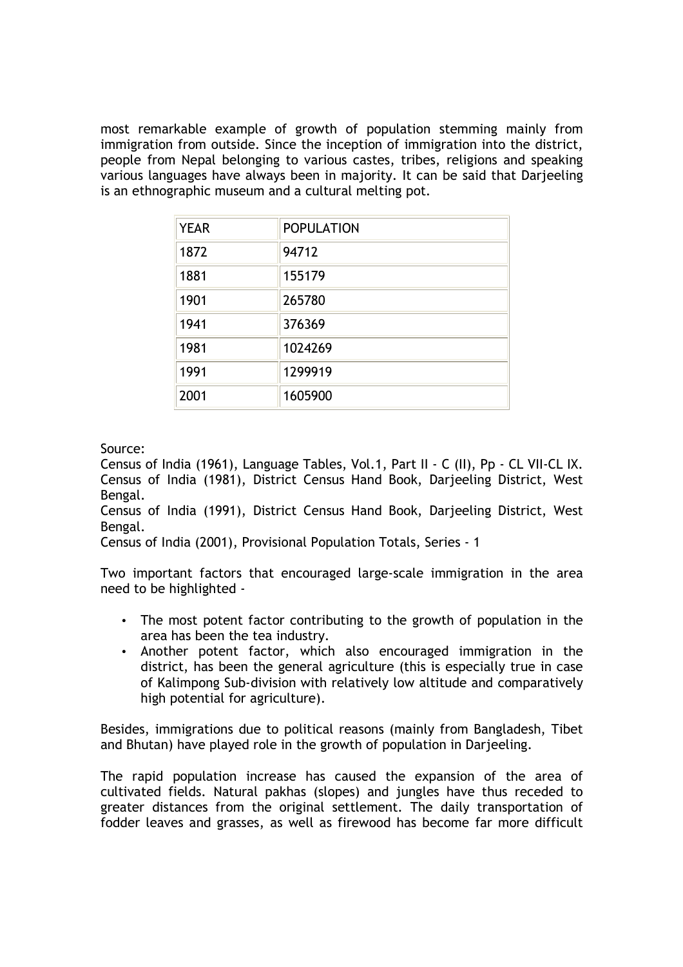most remarkable example of growth of population stemming mainly from immigration from outside. Since the inception of immigration into the district, people from Nepal belonging to various castes, tribes, religions and speaking various languages have always been in majority. It can be said that Darjeeling is an ethnographic museum and a cultural melting pot.

| <b>YEAR</b> | <b>POPULATION</b> |
|-------------|-------------------|
| 1872        | 94712             |
| 1881        | 155179            |
| 1901        | 265780            |
| 1941        | 376369            |
| 1981        | 1024269           |
| 1991        | 1299919           |
| 2001        | 1605900           |

Source:

Census of India (1961), Language Tables, Vol.1, Part II - C (II), Pp - CL VII-CL IX. Census of India (1981), District Census Hand Book, Darjeeling District, West Bengal.

Census of India (1991), District Census Hand Book, Darjeeling District, West Bengal.

Census of India (2001), Provisional Population Totals, Series - 1

Two important factors that encouraged large-scale immigration in the area need to be highlighted -

- The most potent factor contributing to the growth of population in the area has been the tea industry.
- Another potent factor, which also encouraged immigration in the district, has been the general agriculture (this is especially true in case of Kalimpong Sub-division with relatively low altitude and comparatively high potential for agriculture).

Besides, immigrations due to political reasons (mainly from Bangladesh, Tibet and Bhutan) have played role in the growth of population in Darjeeling.

The rapid population increase has caused the expansion of the area of cultivated fields. Natural pakhas (slopes) and jungles have thus receded to greater distances from the original settlement. The daily transportation of fodder leaves and grasses, as well as firewood has become far more difficult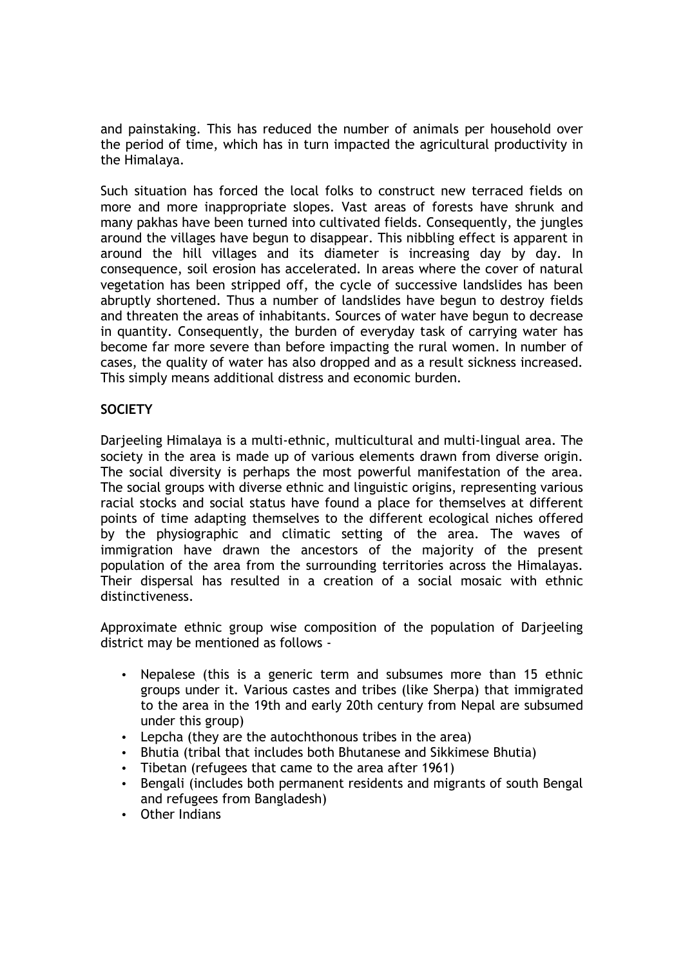and painstaking. This has reduced the number of animals per household over the period of time, which has in turn impacted the agricultural productivity in the Himalaya.

Such situation has forced the local folks to construct new terraced fields on more and more inappropriate slopes. Vast areas of forests have shrunk and many pakhas have been turned into cultivated fields. Consequently, the jungles around the villages have begun to disappear. This nibbling effect is apparent in around the hill villages and its diameter is increasing day by day. In consequence, soil erosion has accelerated. In areas where the cover of natural vegetation has been stripped off, the cycle of successive landslides has been abruptly shortened. Thus a number of landslides have begun to destroy fields and threaten the areas of inhabitants. Sources of water have begun to decrease in quantity. Consequently, the burden of everyday task of carrying water has become far more severe than before impacting the rural women. In number of cases, the quality of water has also dropped and as a result sickness increased. This simply means additional distress and economic burden.

# **SOCIETY**

Darjeeling Himalaya is a multi-ethnic, multicultural and multi-lingual area. The society in the area is made up of various elements drawn from diverse origin. The social diversity is perhaps the most powerful manifestation of the area. The social groups with diverse ethnic and linguistic origins, representing various racial stocks and social status have found a place for themselves at different points of time adapting themselves to the different ecological niches offered by the physiographic and climatic setting of the area. The waves of immigration have drawn the ancestors of the majority of the present population of the area from the surrounding territories across the Himalayas. Their dispersal has resulted in a creation of a social mosaic with ethnic distinctiveness.

Approximate ethnic group wise composition of the population of Darjeeling district may be mentioned as follows -

- Nepalese (this is a generic term and subsumes more than 15 ethnic groups under it. Various castes and tribes (like Sherpa) that immigrated to the area in the 19th and early 20th century from Nepal are subsumed under this group)
- Lepcha (they are the autochthonous tribes in the area)
- Bhutia (tribal that includes both Bhutanese and Sikkimese Bhutia)
- Tibetan (refugees that came to the area after 1961)
- Bengali (includes both permanent residents and migrants of south Bengal and refugees from Bangladesh)
- Other Indians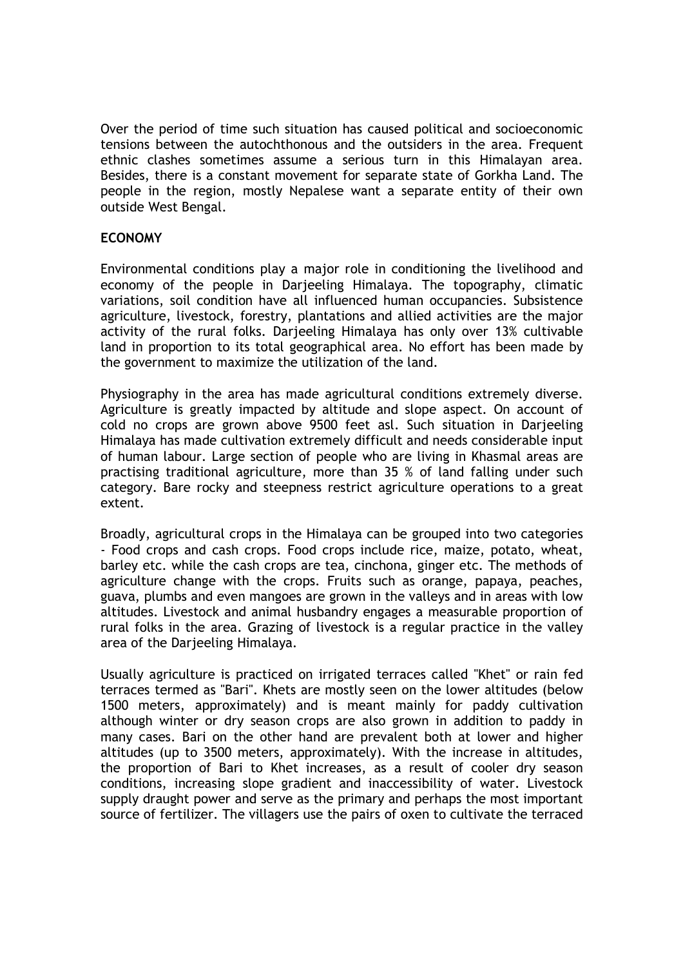Over the period of time such situation has caused political and socioeconomic tensions between the autochthonous and the outsiders in the area. Frequent ethnic clashes sometimes assume a serious turn in this Himalayan area. Besides, there is a constant movement for separate state of Gorkha Land. The people in the region, mostly Nepalese want a separate entity of their own outside West Bengal.

# **ECONOMY**

Environmental conditions play a major role in conditioning the livelihood and economy of the people in Darjeeling Himalaya. The topography, climatic variations, soil condition have all influenced human occupancies. Subsistence agriculture, livestock, forestry, plantations and allied activities are the major activity of the rural folks. Darjeeling Himalaya has only over 13% cultivable land in proportion to its total geographical area. No effort has been made by the government to maximize the utilization of the land.

Physiography in the area has made agricultural conditions extremely diverse. Agriculture is greatly impacted by altitude and slope aspect. On account of cold no crops are grown above 9500 feet asl. Such situation in Darjeeling Himalaya has made cultivation extremely difficult and needs considerable input of human labour. Large section of people who are living in Khasmal areas are practising traditional agriculture, more than 35 % of land falling under such category. Bare rocky and steepness restrict agriculture operations to a great extent.

Broadly, agricultural crops in the Himalaya can be grouped into two categories - Food crops and cash crops. Food crops include rice, maize, potato, wheat, barley etc. while the cash crops are tea, cinchona, ginger etc. The methods of agriculture change with the crops. Fruits such as orange, papaya, peaches, guava, plumbs and even mangoes are grown in the valleys and in areas with low altitudes. Livestock and animal husbandry engages a measurable proportion of rural folks in the area. Grazing of livestock is a regular practice in the valley area of the Darjeeling Himalaya.

Usually agriculture is practiced on irrigated terraces called "Khet" or rain fed terraces termed as "Bari". Khets are mostly seen on the lower altitudes (below 1500 meters, approximately) and is meant mainly for paddy cultivation although winter or dry season crops are also grown in addition to paddy in many cases. Bari on the other hand are prevalent both at lower and higher altitudes (up to 3500 meters, approximately). With the increase in altitudes, the proportion of Bari to Khet increases, as a result of cooler dry season conditions, increasing slope gradient and inaccessibility of water. Livestock supply draught power and serve as the primary and perhaps the most important source of fertilizer. The villagers use the pairs of oxen to cultivate the terraced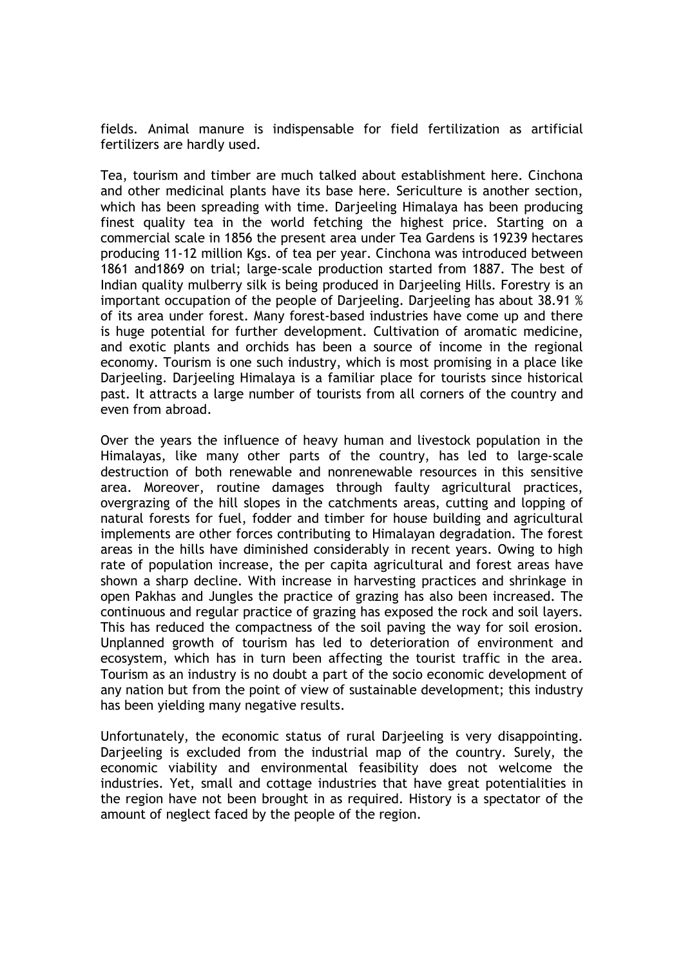fields. Animal manure is indispensable for field fertilization as artificial fertilizers are hardly used.

Tea, tourism and timber are much talked about establishment here. Cinchona and other medicinal plants have its base here. Sericulture is another section, which has been spreading with time. Darjeeling Himalaya has been producing finest quality tea in the world fetching the highest price. Starting on a commercial scale in 1856 the present area under Tea Gardens is 19239 hectares producing 11-12 million Kgs. of tea per year. Cinchona was introduced between 1861 and1869 on trial; large-scale production started from 1887. The best of Indian quality mulberry silk is being produced in Darjeeling Hills. Forestry is an important occupation of the people of Darjeeling. Darjeeling has about 38.91 % of its area under forest. Many forest-based industries have come up and there is huge potential for further development. Cultivation of aromatic medicine, and exotic plants and orchids has been a source of income in the regional economy. Tourism is one such industry, which is most promising in a place like Darjeeling. Darjeeling Himalaya is a familiar place for tourists since historical past. It attracts a large number of tourists from all corners of the country and even from abroad.

Over the years the influence of heavy human and livestock population in the Himalayas, like many other parts of the country, has led to large-scale destruction of both renewable and nonrenewable resources in this sensitive area. Moreover, routine damages through faulty agricultural practices, overgrazing of the hill slopes in the catchments areas, cutting and lopping of natural forests for fuel, fodder and timber for house building and agricultural implements are other forces contributing to Himalayan degradation. The forest areas in the hills have diminished considerably in recent years. Owing to high rate of population increase, the per capita agricultural and forest areas have shown a sharp decline. With increase in harvesting practices and shrinkage in open Pakhas and Jungles the practice of grazing has also been increased. The continuous and regular practice of grazing has exposed the rock and soil layers. This has reduced the compactness of the soil paving the way for soil erosion. Unplanned growth of tourism has led to deterioration of environment and ecosystem, which has in turn been affecting the tourist traffic in the area. Tourism as an industry is no doubt a part of the socio economic development of any nation but from the point of view of sustainable development; this industry has been yielding many negative results.

Unfortunately, the economic status of rural Darjeeling is very disappointing. Darjeeling is excluded from the industrial map of the country. Surely, the economic viability and environmental feasibility does not welcome the industries. Yet, small and cottage industries that have great potentialities in the region have not been brought in as required. History is a spectator of the amount of neglect faced by the people of the region.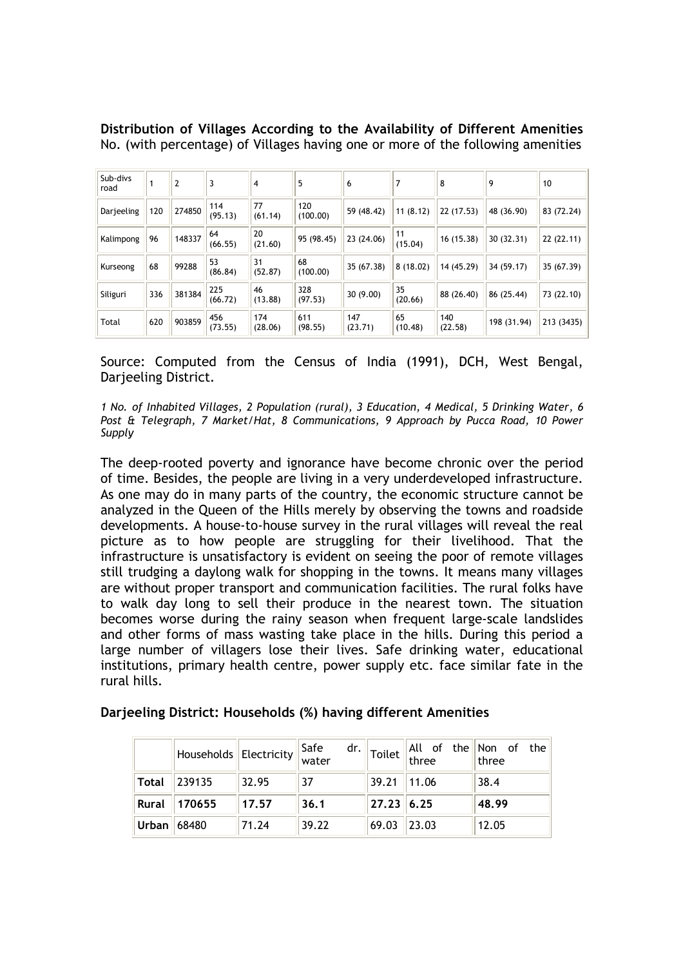|  | Distribution of Villages According to the Availability of Different Amenities   |  |  |  |
|--|---------------------------------------------------------------------------------|--|--|--|
|  | No. (with percentage) of Villages having one or more of the following amenities |  |  |  |

| Sub-divs<br>road |     | $\overline{2}$ | 3              | 4              | 5               | 6              |               | 8              | 9           | 10         |
|------------------|-----|----------------|----------------|----------------|-----------------|----------------|---------------|----------------|-------------|------------|
| Darjeeling       | 120 | 274850         | 114<br>(95.13) | 77<br>(61.14)  | 120<br>(100.00) | 59 (48.42)     | 11(8.12)      | 22 (17.53)     | 48 (36.90)  | 83 (72.24) |
| Kalimpong        | 96  | 148337         | 64<br>(66.55)  | 20<br>(21.60)  | 95 (98.45)      | 23 (24.06)     | 11<br>(15.04) | 16 (15.38)     | 30(32.31)   | 22(22.11)  |
| Kurseong         | 68  | 99288          | 53<br>(86.84)  | 31<br>(52.87)  | 68<br>(100.00)  | 35 (67.38)     | 8(18.02)      | 14 (45.29)     | 34 (59.17)  | 35 (67.39) |
| Siliguri         | 336 | 381384         | 225<br>(66.72) | 46<br>(13.88)  | 328<br>(97.53)  | 30(9.00)       | 35<br>(20.66) | 88 (26.40)     | 86 (25.44)  | 73 (22.10) |
| Total            | 620 | 903859         | 456<br>(73.55) | 174<br>(28.06) | 611<br>(98.55)  | 147<br>(23.71) | 65<br>(10.48) | 140<br>(22.58) | 198 (31.94) | 213 (3435) |

Source: Computed from the Census of India (1991), DCH, West Bengal, Darjeeling District.

*1 No. of Inhabited Villages, 2 Population (rural), 3 Education, 4 Medical, 5 Drinking Water, 6 Post & Telegraph, 7 Market/Hat, 8 Communications, 9 Approach by Pucca Road, 10 Power Supply*

The deep-rooted poverty and ignorance have become chronic over the period of time. Besides, the people are living in a very underdeveloped infrastructure. As one may do in many parts of the country, the economic structure cannot be analyzed in the Queen of the Hills merely by observing the towns and roadside developments. A house-to-house survey in the rural villages will reveal the real picture as to how people are struggling for their livelihood. That the infrastructure is unsatisfactory is evident on seeing the poor of remote villages still trudging a daylong walk for shopping in the towns. It means many villages are without proper transport and communication facilities. The rural folks have to walk day long to sell their produce in the nearest town. The situation becomes worse during the rainy season when frequent large-scale landslides and other forms of mass wasting take place in the hills. During this period a large number of villagers lose their lives. Safe drinking water, educational institutions, primary health centre, power supply etc. face similar fate in the rural hills.

|               | Households Electricity Safe |       |       | dr.   |                | Toilet $\begin{vmatrix} All & of & the \\ three & & \end{vmatrix}$ Non of the |
|---------------|-----------------------------|-------|-------|-------|----------------|-------------------------------------------------------------------------------|
| <b>Total</b>  | 239135                      | 32.95 | 37    |       | 39.21    11.06 | 38.4                                                                          |
| <b>Rural</b>  | 170655                      | 17.57 | 36.1  |       | 27.23 6.25     | 48.99                                                                         |
| Urban   68480 |                             | 71.24 | 39.22 | 69.03 | 23.03          | 12.05                                                                         |

# **Darjeeling District: Households (%) having different Amenities**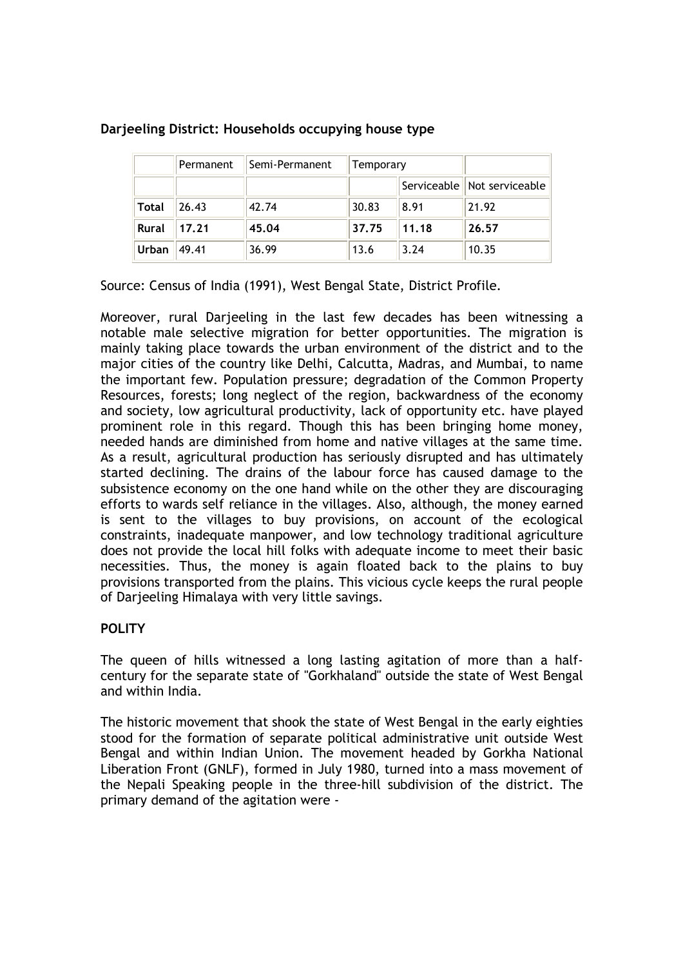|              | Permanent | Semi-Permanent | Temporary |       |                             |
|--------------|-----------|----------------|-----------|-------|-----------------------------|
|              |           |                |           |       | Serviceable Not serviceable |
| <b>Total</b> | 26.43     | 42.74          | 30.83     | 8.91  | 21.92                       |
| <b>Rural</b> | 17.21     | 45.04          | 37.75     | 11.18 | 26.57                       |
| Urban        | 49.41     | 36.99          | 13.6      | 3.24  | 10.35                       |

# **Darjeeling District: Households occupying house type**

Source: Census of India (1991), West Bengal State, District Profile.

Moreover, rural Darjeeling in the last few decades has been witnessing a notable male selective migration for better opportunities. The migration is mainly taking place towards the urban environment of the district and to the major cities of the country like Delhi, Calcutta, Madras, and Mumbai, to name the important few. Population pressure; degradation of the Common Property Resources, forests; long neglect of the region, backwardness of the economy and society, low agricultural productivity, lack of opportunity etc. have played prominent role in this regard. Though this has been bringing home money, needed hands are diminished from home and native villages at the same time. As a result, agricultural production has seriously disrupted and has ultimately started declining. The drains of the labour force has caused damage to the subsistence economy on the one hand while on the other they are discouraging efforts to wards self reliance in the villages. Also, although, the money earned is sent to the villages to buy provisions, on account of the ecological constraints, inadequate manpower, and low technology traditional agriculture does not provide the local hill folks with adequate income to meet their basic necessities. Thus, the money is again floated back to the plains to buy provisions transported from the plains. This vicious cycle keeps the rural people of Darjeeling Himalaya with very little savings.

# **POLITY**

The queen of hills witnessed a long lasting agitation of more than a halfcentury for the separate state of "Gorkhaland" outside the state of West Bengal and within India.

The historic movement that shook the state of West Bengal in the early eighties stood for the formation of separate political administrative unit outside West Bengal and within Indian Union. The movement headed by Gorkha National Liberation Front (GNLF), formed in July 1980, turned into a mass movement of the Nepali Speaking people in the three-hill subdivision of the district. The primary demand of the agitation were -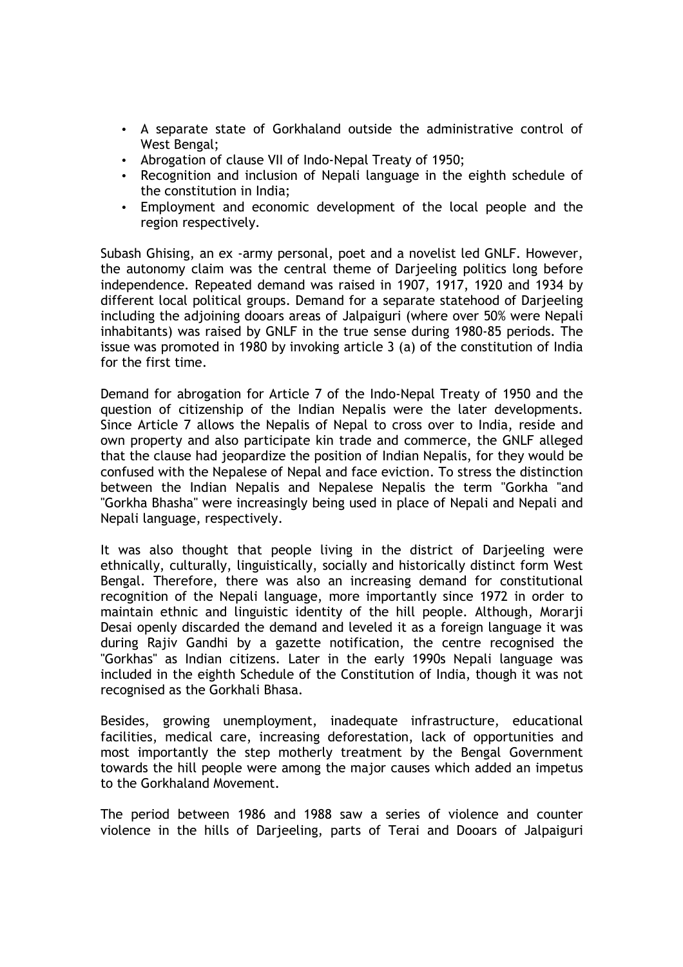- A separate state of Gorkhaland outside the administrative control of West Bengal;
- Abrogation of clause VII of Indo-Nepal Treaty of 1950;
- Recognition and inclusion of Nepali language in the eighth schedule of the constitution in India;
- Employment and economic development of the local people and the region respectively.

Subash Ghising, an ex -army personal, poet and a novelist led GNLF. However, the autonomy claim was the central theme of Darjeeling politics long before independence. Repeated demand was raised in 1907, 1917, 1920 and 1934 by different local political groups. Demand for a separate statehood of Darjeeling including the adjoining dooars areas of Jalpaiguri (where over 50% were Nepali inhabitants) was raised by GNLF in the true sense during 1980-85 periods. The issue was promoted in 1980 by invoking article 3 (a) of the constitution of India for the first time.

Demand for abrogation for Article 7 of the Indo-Nepal Treaty of 1950 and the question of citizenship of the Indian Nepalis were the later developments. Since Article 7 allows the Nepalis of Nepal to cross over to India, reside and own property and also participate kin trade and commerce, the GNLF alleged that the clause had jeopardize the position of Indian Nepalis, for they would be confused with the Nepalese of Nepal and face eviction. To stress the distinction between the Indian Nepalis and Nepalese Nepalis the term "Gorkha "and "Gorkha Bhasha" were increasingly being used in place of Nepali and Nepali and Nepali language, respectively.

It was also thought that people living in the district of Darjeeling were ethnically, culturally, linguistically, socially and historically distinct form West Bengal. Therefore, there was also an increasing demand for constitutional recognition of the Nepali language, more importantly since 1972 in order to maintain ethnic and linguistic identity of the hill people. Although, Morarji Desai openly discarded the demand and leveled it as a foreign language it was during Rajiv Gandhi by a gazette notification, the centre recognised the "Gorkhas" as Indian citizens. Later in the early 1990s Nepali language was included in the eighth Schedule of the Constitution of India, though it was not recognised as the Gorkhali Bhasa.

Besides, growing unemployment, inadequate infrastructure, educational facilities, medical care, increasing deforestation, lack of opportunities and most importantly the step motherly treatment by the Bengal Government towards the hill people were among the major causes which added an impetus to the Gorkhaland Movement.

The period between 1986 and 1988 saw a series of violence and counter violence in the hills of Darjeeling, parts of Terai and Dooars of Jalpaiguri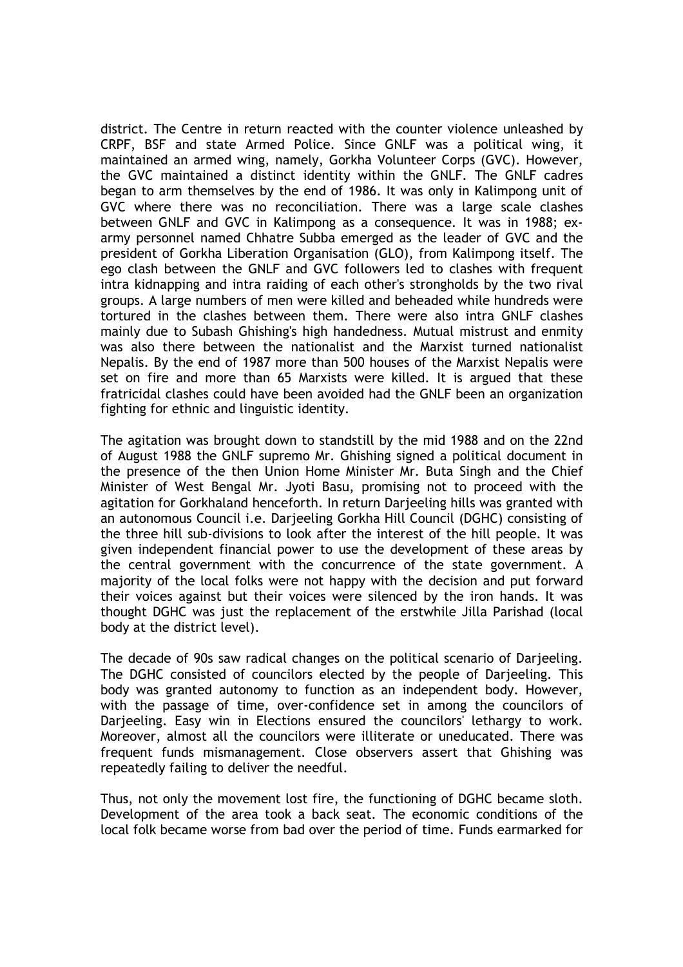district. The Centre in return reacted with the counter violence unleashed by CRPF, BSF and state Armed Police. Since GNLF was a political wing, it maintained an armed wing, namely, Gorkha Volunteer Corps (GVC). However, the GVC maintained a distinct identity within the GNLF. The GNLF cadres began to arm themselves by the end of 1986. It was only in Kalimpong unit of GVC where there was no reconciliation. There was a large scale clashes between GNLF and GVC in Kalimpong as a consequence. It was in 1988; exarmy personnel named Chhatre Subba emerged as the leader of GVC and the president of Gorkha Liberation Organisation (GLO), from Kalimpong itself. The ego clash between the GNLF and GVC followers led to clashes with frequent intra kidnapping and intra raiding of each other's strongholds by the two rival groups. A large numbers of men were killed and beheaded while hundreds were tortured in the clashes between them. There were also intra GNLF clashes mainly due to Subash Ghishing's high handedness. Mutual mistrust and enmity was also there between the nationalist and the Marxist turned nationalist Nepalis. By the end of 1987 more than 500 houses of the Marxist Nepalis were set on fire and more than 65 Marxists were killed. It is argued that these fratricidal clashes could have been avoided had the GNLF been an organization fighting for ethnic and linguistic identity.

The agitation was brought down to standstill by the mid 1988 and on the 22nd of August 1988 the GNLF supremo Mr. Ghishing signed a political document in the presence of the then Union Home Minister Mr. Buta Singh and the Chief Minister of West Bengal Mr. Jyoti Basu, promising not to proceed with the agitation for Gorkhaland henceforth. In return Darjeeling hills was granted with an autonomous Council i.e. Darjeeling Gorkha Hill Council (DGHC) consisting of the three hill sub-divisions to look after the interest of the hill people. It was given independent financial power to use the development of these areas by the central government with the concurrence of the state government. A majority of the local folks were not happy with the decision and put forward their voices against but their voices were silenced by the iron hands. It was thought DGHC was just the replacement of the erstwhile Jilla Parishad (local body at the district level).

The decade of 90s saw radical changes on the political scenario of Darjeeling. The DGHC consisted of councilors elected by the people of Darjeeling. This body was granted autonomy to function as an independent body. However, with the passage of time, over-confidence set in among the councilors of Darjeeling. Easy win in Elections ensured the councilors' lethargy to work. Moreover, almost all the councilors were illiterate or uneducated. There was frequent funds mismanagement. Close observers assert that Ghishing was repeatedly failing to deliver the needful.

Thus, not only the movement lost fire, the functioning of DGHC became sloth. Development of the area took a back seat. The economic conditions of the local folk became worse from bad over the period of time. Funds earmarked for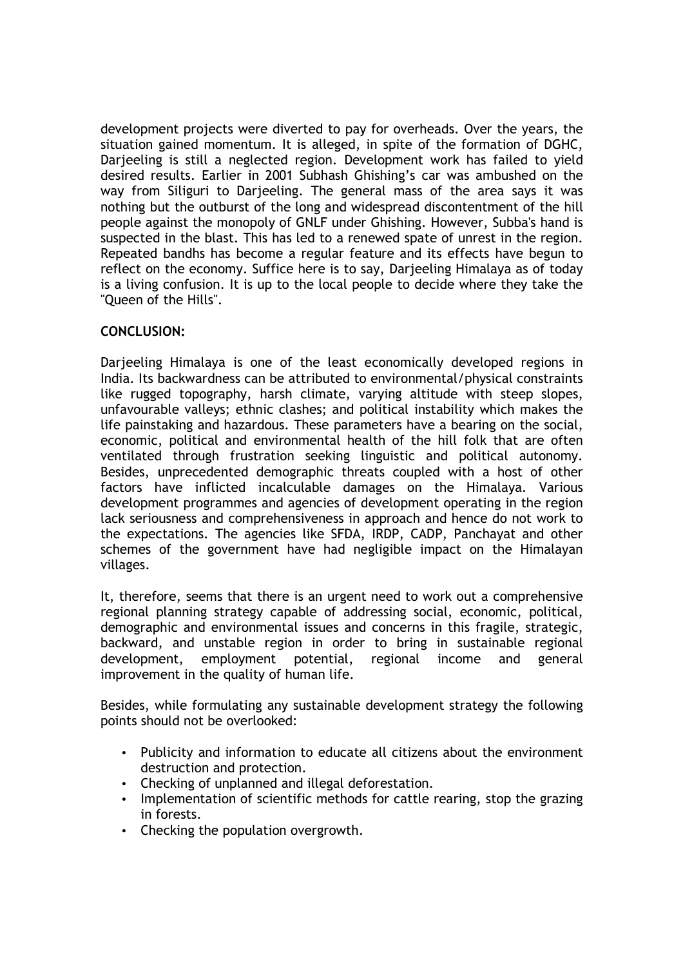development projects were diverted to pay for overheads. Over the years, the situation gained momentum. It is alleged, in spite of the formation of DGHC, Darieeling is still a neglected region. Development work has failed to vield desired results. Earlier in 2001 Subhash Ghishing's car was ambushed on the way from Siliguri to Darjeeling. The general mass of the area says it was nothing but the outburst of the long and widespread discontentment of the hill people against the monopoly of GNLF under Ghishing. However, Subba's hand is suspected in the blast. This has led to a renewed spate of unrest in the region. Repeated bandhs has become a regular feature and its effects have begun to reflect on the economy. Suffice here is to say, Darjeeling Himalaya as of today is a living confusion. It is up to the local people to decide where they take the "Queen of the Hills".

# **CONCLUSION:**

Darjeeling Himalaya is one of the least economically developed regions in India. Its backwardness can be attributed to environmental/physical constraints like rugged topography, harsh climate, varying altitude with steep slopes, unfavourable valleys; ethnic clashes; and political instability which makes the life painstaking and hazardous. These parameters have a bearing on the social, economic, political and environmental health of the hill folk that are often ventilated through frustration seeking linguistic and political autonomy. Besides, unprecedented demographic threats coupled with a host of other factors have inflicted incalculable damages on the Himalaya. Various development programmes and agencies of development operating in the region lack seriousness and comprehensiveness in approach and hence do not work to the expectations. The agencies like SFDA, IRDP, CADP, Panchayat and other schemes of the government have had negligible impact on the Himalayan villages.

It, therefore, seems that there is an urgent need to work out a comprehensive regional planning strategy capable of addressing social, economic, political, demographic and environmental issues and concerns in this fragile, strategic, backward, and unstable region in order to bring in sustainable regional development, employment potential, regional income and general improvement in the quality of human life.

Besides, while formulating any sustainable development strategy the following points should not be overlooked:

- Publicity and information to educate all citizens about the environment destruction and protection.
- Checking of unplanned and illegal deforestation.
- Implementation of scientific methods for cattle rearing, stop the grazing in forests.
- Checking the population overgrowth.